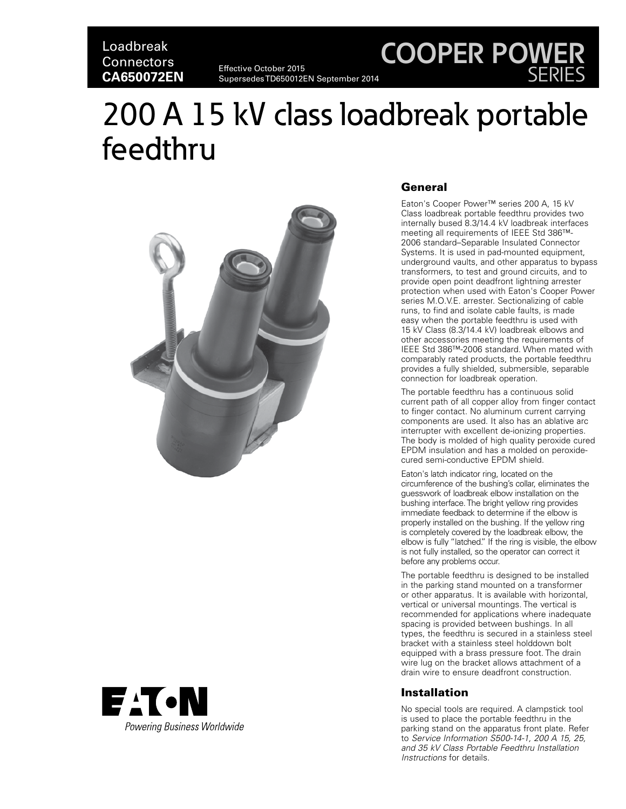# Loadbreak **Connectors CA650072EN**

Effective October 2015 Supersedes TD650012EN September 2014

# 200 A 15 kV class loadbreak portable feedthru





### General

Eaton's Cooper Power™ series 200 A, 15 kV Class loadbreak portable feedthru provides two internally bused 8.3/14.4 kV loadbreak interfaces meeting all requirements of IEEE Std 386™- 2006 standard–Separable Insulated Connector Systems. It is used in pad-mounted equipment, underground vaults, and other apparatus to bypass transformers, to test and ground circuits, and to provide open point deadfront lightning arrester protection when used with Eaton's Cooper Power series M.O.V.E. arrester. Sectionalizing of cable runs, to find and isolate cable faults, is made easy when the portable feedthru is used with 15 kV Class (8.3/14.4 kV) loadbreak elbows and other accessories meeting the requirements of IEEE Std 386™-2006 standard. When mated with comparably rated products, the portable feedthru provides a fully shielded, submersible, separable connection for loadbreak operation.

**COOPER POWER**

SERIES

The portable feedthru has a continuous solid current path of all copper alloy from finger contact to finger contact. No aluminum current carrying components are used. It also has an ablative arc interrupter with excellent de-ionizing properties. The body is molded of high quality peroxide cured EPDM insulation and has a molded on peroxidecured semi-conductive EPDM shield.

Eaton's latch indicator ring, located on the circumference of the bushing's collar, eliminates the guesswork of loadbreak elbow installation on the bushing interface. The bright yellow ring provides immediate feedback to determine if the elbow is properly installed on the bushing. If the yellow ring is completely covered by the loadbreak elbow, the elbow is fully "latched." If the ring is visible, the elbow is not fully installed, so the operator can correct it before any problems occur.

The portable feedthru is designed to be installed in the parking stand mounted on a transformer or other apparatus. It is available with horizontal, vertical or universal mountings. The vertical is recommended for applications where inadequate spacing is provided between bushings. In all types, the feedthru is secured in a stainless steel bracket with a stainless steel holddown bolt equipped with a brass pressure foot. The drain wire lug on the bracket allows attachment of a drain wire to ensure deadfront construction.

#### Installation

No special tools are required. A clampstick tool is used to place the portable feedthru in the parking stand on the apparatus front plate. Refer to *Service Information S500-14-1, 200 A 15, 25, and 35 kV Class Portable Feedthru Installation Instructions* for details.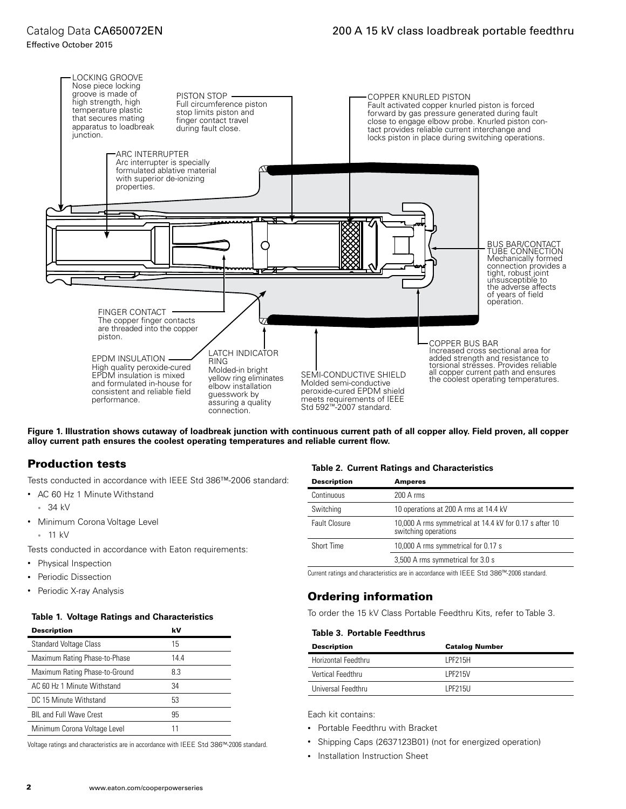#### Effective October 2015



**Figure 1. Illustration shows cutaway of loadbreak junction with continuous current path of all copper alloy. Field proven, all copper alloy current path ensures the coolest operating temperatures and reliable current flow.**

## Production tests

Tests conducted in accordance with IEEE Std 386™-2006 standard:

- AC 60 Hz 1 Minute Withstand
	- 34 kV
- Minimum Corona Voltage Level
- 11 kV

Tests conducted in accordance with Eaton requirements:

- Physical Inspection
- Periodic Dissection
- 

#### **Table 1. Voltage Ratings and Characteristics**

| <b>Description</b>             | kV   |
|--------------------------------|------|
| <b>Standard Voltage Class</b>  | 15   |
| Maximum Rating Phase-to-Phase  | 14.4 |
| Maximum Rating Phase-to-Ground | 8.3  |
| AC 60 Hz 1 Minute Withstand    | 34   |
| DC 15 Minute Withstand         | 53   |
| <b>BIL and Full Wave Crest</b> | 95   |
| Minimum Corona Voltage Level   |      |

Voltage ratings and characteristics are in accordance with IEEE Std 386™-2006 standard.

#### **Table 2. Current Ratings and Characteristics**

| <b>Description</b> | <b>Amperes</b>                                                                  |
|--------------------|---------------------------------------------------------------------------------|
| Continuous         | $200 \text{ A}$ rms                                                             |
| Switching          | 10 operations at 200 A rms at 14.4 kV                                           |
| Fault Closure      | 10,000 A rms symmetrical at 14.4 kV for 0.17 s after 10<br>switching operations |
| Short Time         | 10,000 A rms symmetrical for 0.17 s                                             |
|                    | 3,500 A rms symmetrical for 3.0 s                                               |

Current ratings and characteristics are in accordance with IEEE Std 386™-2006 standard.

# • Periodic X-ray Analysis Ordering information

To order the 15 kV Class Portable Feedthru Kits, refer to Table 3.

#### **Table 3. Portable Feedthrus**

| <b>Description</b>  | <b>Catalog Number</b> |
|---------------------|-----------------------|
| Horizontal Feedthru | <b>IPF215H</b>        |
| Vertical Feedthru   | <b>IPF215V</b>        |
| Universal Feedthru  | <b>IPF215U</b>        |

Each kit contains:

- Portable Feedthru with Bracket
- Shipping Caps (2637123B01) (not for energized operation)
- Installation Instruction Sheet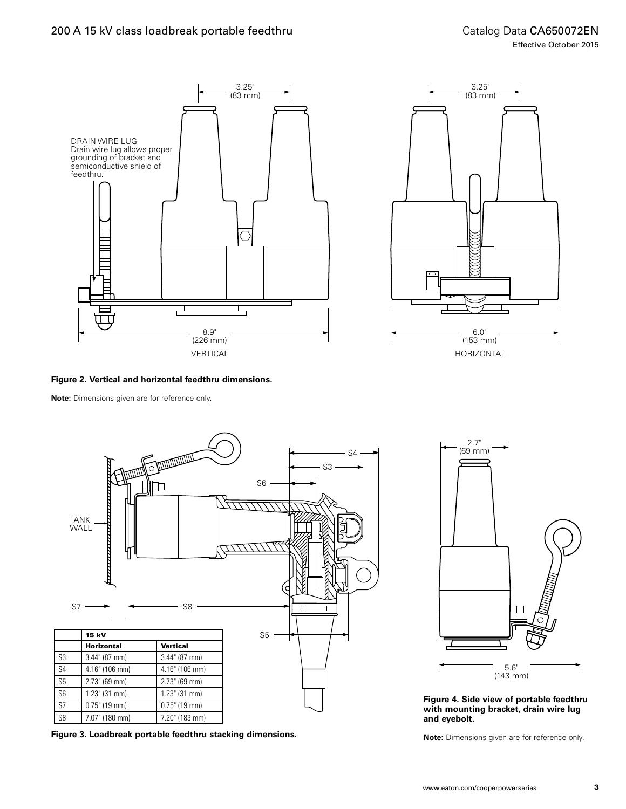### 200 A 15 kV class loadbreak portable feedthru





**Note:** Dimensions given are for reference only.



**Figure 3. Loadbreak portable feedthru stacking dimensions.**



**Figure 4. Side view of portable feedthru with mounting bracket, drain wire lug and eyebolt.**

**Note:** Dimensions given are for reference only.